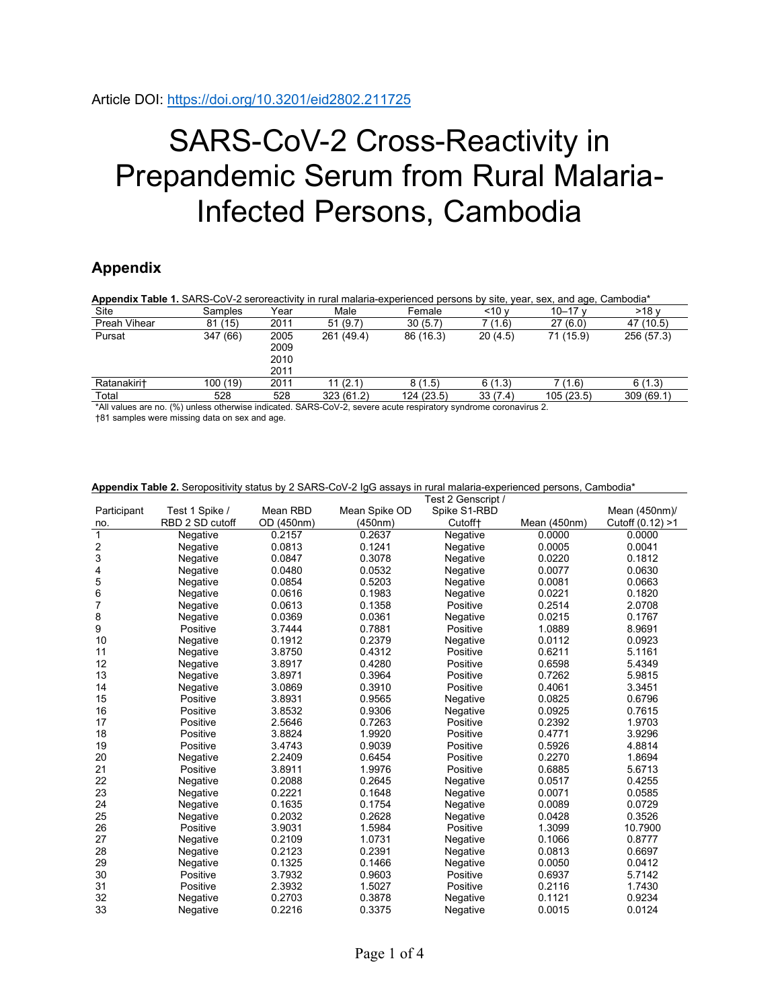## SARS-CoV-2 Cross-Reactivity in Prepandemic Serum from Rural Malaria-Infected Persons, Cambodia

## **Appendix**

| Appendix Table 1. SARS-CoV-2 seroreactivity in rural malaria-experienced persons by site, year, sex, and age, Cambodia* |          |                              |            |            |            |           |            |  |
|-------------------------------------------------------------------------------------------------------------------------|----------|------------------------------|------------|------------|------------|-----------|------------|--|
| Site                                                                                                                    | Samples  | Year                         | Male       | Female     | $<$ 10 $v$ | 10 $-17v$ | >18v       |  |
| Preah Vihear                                                                                                            | 81(15)   | 2011                         | 51(9.7)    | 30(5.7)    | 7 (1.6)    | 27(6.0)   | 47 (10.5)  |  |
| Pursat                                                                                                                  | 347 (66) | 2005<br>2009<br>2010<br>2011 | 261 (49.4) | 86 (16.3)  | 20(4.5)    | 71 (15.9) | 256 (57.3) |  |
| Ratanakiri+                                                                                                             | 100 (19) | 2011                         | 11(2.1)    | 8(1.5)     | 6(1.3)     | 7(1.6)    | 6(1.3)     |  |
| Total                                                                                                                   | 528      | 528                          | 323(61.2)  | 124 (23.5) | 33(7.4)    | 105(23.5) | 309(69.1)  |  |

\*All values are no. (%) unless otherwise indicated. SARS-CoV-2, severe acute respiratory syndrome coronavirus 2.

†81 samples were missing data on sex and age.

|                         | $\frac{1}{2}$   |            | uuu<br>o in raramaana oxpononooa poroono, caniboaia<br>Test 2 Genscript / |                     |               |                     |
|-------------------------|-----------------|------------|---------------------------------------------------------------------------|---------------------|---------------|---------------------|
| Participant             | Test 1 Spike /  | Mean RBD   | Mean Spike OD                                                             | Spike S1-RBD        | Mean (450nm)/ |                     |
| no.                     | RBD 2 SD cutoff | OD (450nm) | (450nm)                                                                   | Cutoff <sup>+</sup> | Mean (450nm)  | Cutoff $(0.12) > 1$ |
| $\mathbf{1}$            | Negative        | 0.2157     | 0.2637                                                                    | Negative            | 0.0000        | 0.0000              |
| $\overline{\mathbf{c}}$ | Negative        | 0.0813     | 0.1241                                                                    | Negative            | 0.0005        | 0.0041              |
| 3                       | Negative        | 0.0847     | 0.3078                                                                    | Negative            | 0.0220        | 0.1812              |
| 4                       | Negative        | 0.0480     | 0.0532                                                                    | Negative            | 0.0077        | 0.0630              |
| 5                       | Negative        | 0.0854     | 0.5203                                                                    | Negative            | 0.0081        | 0.0663              |
| 6                       | Negative        | 0.0616     | 0.1983                                                                    | Negative            | 0.0221        | 0.1820              |
| 7                       | Negative        | 0.0613     | 0.1358                                                                    | Positive            | 0.2514        | 2.0708              |
| 8                       | Negative        | 0.0369     | 0.0361                                                                    | Negative            | 0.0215        | 0.1767              |
| 9                       | Positive        | 3.7444     | 0.7881                                                                    | Positive            | 1.0889        | 8.9691              |
| 10                      | Negative        | 0.1912     | 0.2379                                                                    | Negative            | 0.0112        | 0.0923              |
| 11                      | Negative        | 3.8750     | 0.4312                                                                    | Positive            | 0.6211        | 5.1161              |
| 12                      | Negative        | 3.8917     | 0.4280                                                                    | Positive            | 0.6598        | 5.4349              |
| 13                      | Negative        | 3.8971     | 0.3964                                                                    | Positive            | 0.7262        | 5.9815              |
| 14                      | Negative        | 3.0869     | 0.3910                                                                    | Positive            | 0.4061        | 3.3451              |
| 15                      | Positive        | 3.8931     | 0.9565                                                                    | Negative            | 0.0825        | 0.6796              |
| 16                      | Positive        | 3.8532     | 0.9306                                                                    | Negative            | 0.0925        | 0.7615              |
| 17                      | Positive        | 2.5646     | 0.7263                                                                    | Positive            | 0.2392        | 1.9703              |
| 18                      | Positive        | 3.8824     | 1.9920                                                                    | Positive            | 0.4771        | 3.9296              |
| 19                      | Positive        | 3.4743     | 0.9039                                                                    | Positive            | 0.5926        | 4.8814              |
| 20                      | Negative        | 2.2409     | 0.6454                                                                    | Positive            | 0.2270        | 1.8694              |
| 21                      | Positive        | 3.8911     | 1.9976                                                                    | Positive            | 0.6885        | 5.6713              |
| 22                      | Negative        | 0.2088     | 0.2645                                                                    | Negative            | 0.0517        | 0.4255              |
| 23                      | Negative        | 0.2221     | 0.1648                                                                    | Negative            | 0.0071        | 0.0585              |
| 24                      | Negative        | 0.1635     | 0.1754                                                                    | Negative            | 0.0089        | 0.0729              |
| 25                      | Negative        | 0.2032     | 0.2628                                                                    | Negative            | 0.0428        | 0.3526              |
| 26                      | Positive        | 3.9031     | 1.5984                                                                    | Positive            | 1.3099        | 10.7900             |
| 27                      | Negative        | 0.2109     | 1.0731                                                                    | Negative            | 0.1066        | 0.8777              |
| 28                      | Negative        | 0.2123     | 0.2391                                                                    | Negative            | 0.0813        | 0.6697              |
| 29                      | Negative        | 0.1325     | 0.1466                                                                    | Negative            | 0.0050        | 0.0412              |
| 30                      | Positive        | 3.7932     | 0.9603                                                                    | Positive            | 0.6937        | 5.7142              |
| 31                      | Positive        | 2.3932     | 1.5027                                                                    | Positive            | 0.2116        | 1.7430              |
| 32                      | Negative        | 0.2703     | 0.3878                                                                    | Negative            | 0.1121        | 0.9234              |
| 33                      | Negative        | 0.2216     | 0.3375                                                                    | Negative            | 0.0015        | 0.0124              |

**Appendix Table 2.** Seropositivity status by 2 SARS-CoV-2 IgG assays in rural malaria-experienced persons, Cambodia\*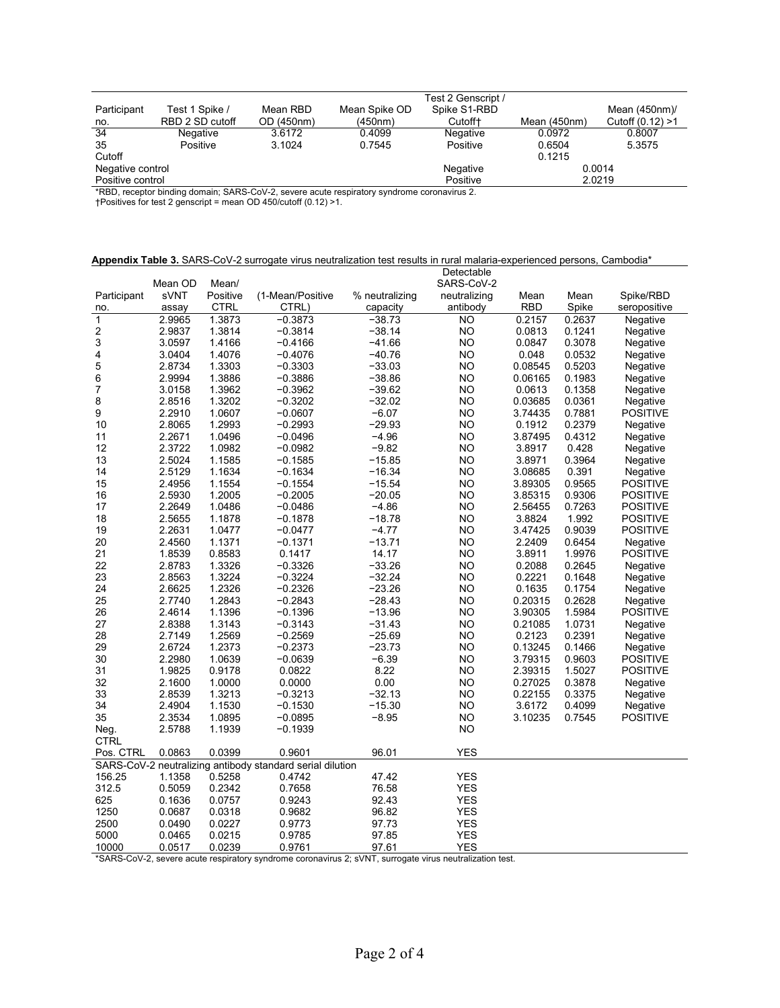|                  |            |               | Test 2 Genscript /  |                |                     |
|------------------|------------|---------------|---------------------|----------------|---------------------|
| Test 1 Spike /   | Mean RBD   | Mean Spike OD | Spike S1-RBD        |                | Mean $(450nm)$      |
| RBD 2 SD cutoff  | OD (450nm) | (450nm)       | Cutoff <sup>+</sup> | Mean $(450nm)$ | Cutoff $(0.12) > 1$ |
| Negative         | 3.6172     | 0.4099        | Negative            | 0.0972         | 0.8007              |
| Positive         | 3.1024     | 0.7545        | Positive            | 0.6504         | 5.3575              |
|                  |            |               |                     | 0.1215         |                     |
| Negative control |            |               | Negative            |                | 0.0014              |
| Positive control |            |               | Positive            |                | 2.0219              |
|                  |            |               |                     |                |                     |

\*RBD, receptor binding domain; SARS-CoV-2, severe acute respiratory syndrome coronavirus 2.

†Positives for test 2 genscript = mean OD 450/cutoff (0.12) >1.

| Appendix Table 3. SARS-CoV-2 surrogate virus neutralization test results in rural malaria-experienced persons, Cambodia* |  |
|--------------------------------------------------------------------------------------------------------------------------|--|
| <b>Detectable</b>                                                                                                        |  |

|               | Mean OD | Mean/       |                                                           |                | polouapio<br>SARS-CoV-2 |            |        |                 |
|---------------|---------|-------------|-----------------------------------------------------------|----------------|-------------------------|------------|--------|-----------------|
| Participant   | sVNT    | Positive    | (1-Mean/Positive                                          | % neutralizing | neutralizing            | Mean       | Mean   | Spike/RBD       |
| no.           | assay   | <b>CTRL</b> | CTRL)                                                     | capacity       | antibody                | <b>RBD</b> | Spike  | seropositive    |
| $\mathbf{1}$  | 2.9965  | 1.3873      | $-0.3873$                                                 | $-38.73$       | NO                      | 0.2157     | 0.2637 | Negative        |
|               | 2.9837  | 1.3814      | $-0.3814$                                                 | $-38.14$       | <b>NO</b>               | 0.0813     | 0.1241 | Negative        |
| $\frac{2}{3}$ | 3.0597  | 1.4166      | $-0.4166$                                                 | $-41.66$       | <b>NO</b>               | 0.0847     | 0.3078 | Negative        |
| 4             | 3.0404  | 1.4076      | $-0.4076$                                                 | $-40.76$       | <b>NO</b>               | 0.048      | 0.0532 | Negative        |
| 5             | 2.8734  | 1.3303      | $-0.3303$                                                 | $-33.03$       | <b>NO</b>               | 0.08545    | 0.5203 | Negative        |
| 6             | 2.9994  | 1.3886      | $-0.3886$                                                 | $-38.86$       | <b>NO</b>               | 0.06165    | 0.1983 | Negative        |
| 7             | 3.0158  | 1.3962      | $-0.3962$                                                 | $-39.62$       | <b>NO</b>               | 0.0613     | 0.1358 | Negative        |
| 8             | 2.8516  | 1.3202      | $-0.3202$                                                 | $-32.02$       | <b>NO</b>               | 0.03685    | 0.0361 | Negative        |
| 9             | 2.2910  | 1.0607      | $-0.0607$                                                 | $-6.07$        | <b>NO</b>               | 3.74435    | 0.7881 | <b>POSITIVE</b> |
| 10            | 2.8065  | 1.2993      | $-0.2993$                                                 | $-29.93$       | NO                      | 0.1912     | 0.2379 | Negative        |
| 11            | 2.2671  | 1.0496      | $-0.0496$                                                 | $-4.96$        | <b>NO</b>               | 3.87495    | 0.4312 | Negative        |
| 12            | 2.3722  | 1.0982      | $-0.0982$                                                 | $-9.82$        | <b>NO</b>               | 3.8917     | 0.428  | Negative        |
| 13            | 2.5024  | 1.1585      | $-0.1585$                                                 | $-15.85$       | <b>NO</b>               | 3.8971     | 0.3964 | Negative        |
| 14            | 2.5129  | 1.1634      | $-0.1634$                                                 | $-16.34$       | <b>NO</b>               | 3.08685    | 0.391  | Negative        |
| 15            | 2.4956  | 1.1554      | $-0.1554$                                                 | $-15.54$       | <b>NO</b>               | 3.89305    | 0.9565 | <b>POSITIVE</b> |
| 16            | 2.5930  | 1.2005      | $-0.2005$                                                 | $-20.05$       | <b>NO</b>               | 3.85315    | 0.9306 | <b>POSITIVE</b> |
| 17            | 2.2649  | 1.0486      | $-0.0486$                                                 | $-4.86$        | <b>NO</b>               | 2.56455    | 0.7263 | <b>POSITIVE</b> |
| 18            | 2.5655  | 1.1878      | $-0.1878$                                                 | $-18.78$       | NO                      | 3.8824     | 1.992  | <b>POSITIVE</b> |
| 19            | 2.2631  | 1.0477      | $-0.0477$                                                 | $-4.77$        | <b>NO</b>               | 3.47425    | 0.9039 | <b>POSITIVE</b> |
| 20            | 2.4560  | 1.1371      | $-0.1371$                                                 | $-13.71$       | <b>NO</b>               | 2.2409     | 0.6454 | Negative        |
| 21            | 1.8539  | 0.8583      | 0.1417                                                    | 14.17          | <b>NO</b>               | 3.8911     | 1.9976 | <b>POSITIVE</b> |
| 22            | 2.8783  | 1.3326      | $-0.3326$                                                 | $-33.26$       | <b>NO</b>               | 0.2088     | 0.2645 | Negative        |
| 23            | 2.8563  | 1.3224      | $-0.3224$                                                 | $-32.24$       | <b>NO</b>               | 0.2221     | 0.1648 | Negative        |
| 24            | 2.6625  | 1.2326      | $-0.2326$                                                 | $-23.26$       | <b>NO</b>               | 0.1635     | 0.1754 | Negative        |
| 25            | 2.7740  | 1.2843      | $-0.2843$                                                 | $-28.43$       | <b>NO</b>               | 0.20315    | 0.2628 | Negative        |
| 26            | 2.4614  | 1.1396      | $-0.1396$                                                 | $-13.96$       | <b>NO</b>               | 3.90305    | 1.5984 | <b>POSITIVE</b> |
| 27            | 2.8388  | 1.3143      | $-0.3143$                                                 | -31.43         | <b>NO</b>               | 0.21085    | 1.0731 | Negative        |
| 28            | 2.7149  | 1.2569      | $-0.2569$                                                 | $-25.69$       | <b>NO</b>               | 0.2123     | 0.2391 | Negative        |
| 29            | 2.6724  | 1.2373      | $-0.2373$                                                 | $-23.73$       | <b>NO</b>               | 0.13245    | 0.1466 | Negative        |
| 30            | 2.2980  | 1.0639      | $-0.0639$                                                 | $-6.39$        | <b>NO</b>               | 3.79315    | 0.9603 | <b>POSITIVE</b> |
| 31            | 1.9825  | 0.9178      | 0.0822                                                    | 8.22           | <b>NO</b>               | 2.39315    | 1.5027 | <b>POSITIVE</b> |
| 32            | 2.1600  | 1.0000      | 0.0000                                                    | 0.00           | <b>NO</b>               | 0.27025    | 0.3878 | Negative        |
| 33            | 2.8539  | 1.3213      | $-0.3213$                                                 | $-32.13$       | NO.                     | 0.22155    | 0.3375 | Negative        |
| 34            | 2.4904  | 1.1530      | $-0.1530$                                                 | $-15.30$       | <b>NO</b>               | 3.6172     | 0.4099 | Negative        |
| 35            | 2.3534  | 1.0895      | $-0.0895$                                                 | $-8.95$        | <b>NO</b>               | 3.10235    | 0.7545 | <b>POSITIVE</b> |
| Neg.          | 2.5788  | 1.1939      | $-0.1939$                                                 |                | NO                      |            |        |                 |
| CTRL          |         |             |                                                           |                |                         |            |        |                 |
| Pos. CTRL     | 0.0863  | 0.0399      | 0.9601                                                    | 96.01          | <b>YES</b>              |            |        |                 |
|               |         |             | SARS-CoV-2 neutralizing antibody standard serial dilution |                |                         |            |        |                 |
| 156.25        | 1.1358  | 0.5258      | 0.4742                                                    | 47.42          | <b>YES</b>              |            |        |                 |
| 312.5         | 0.5059  | 0.2342      | 0.7658                                                    | 76.58          | YES                     |            |        |                 |
| 625           | 0.1636  | 0.0757      | 0.9243                                                    | 92.43          | <b>YES</b>              |            |        |                 |
| 1250          | 0.0687  | 0.0318      | 0.9682                                                    | 96.82          | <b>YES</b>              |            |        |                 |
| 2500          | 0.0490  | 0.0227      | 0.9773                                                    | 97.73          | <b>YES</b>              |            |        |                 |
| 5000          | 0.0465  | 0.0215      | 0.9785                                                    | 97.85          | <b>YES</b>              |            |        |                 |
| 10000         | 0.0517  | 0.0239      | 0.9761                                                    | 97.61          | <b>YES</b>              |            |        |                 |
|               |         |             |                                                           |                |                         |            |        |                 |

\*SARS-CoV-2, severe acute respiratory syndrome coronavirus 2; sVNT, surrogate virus neutralization test.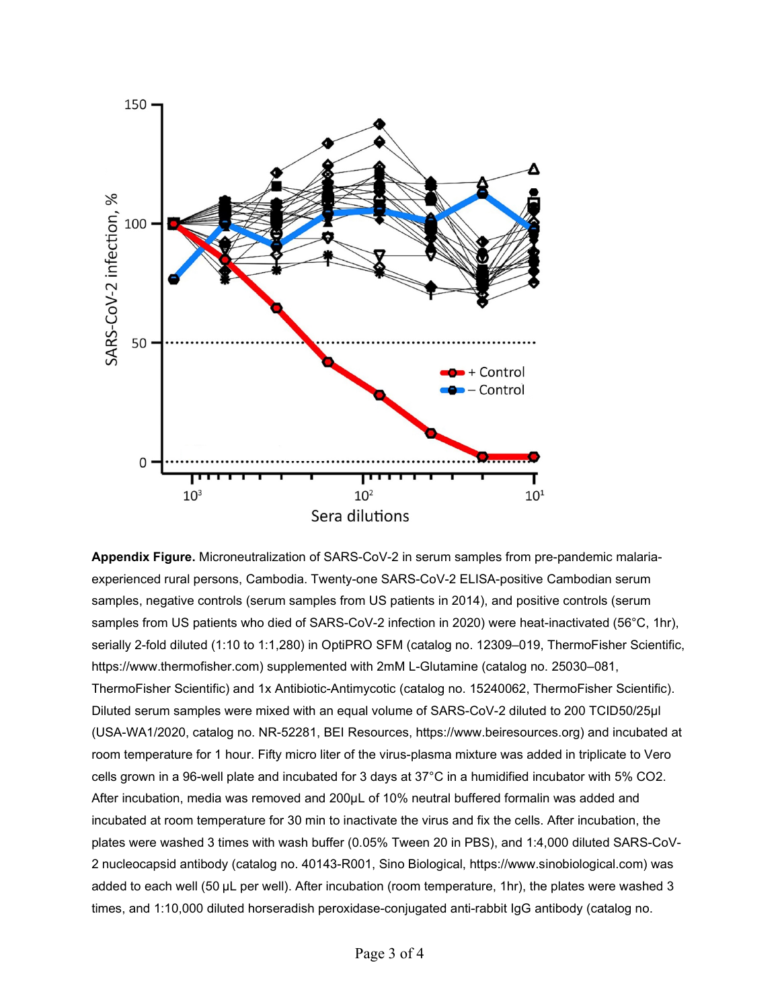

**Appendix Figure.** Microneutralization of SARS-CoV-2 in serum samples from pre-pandemic malariaexperienced rural persons, Cambodia. Twenty-one SARS-CoV-2 ELISA-positive Cambodian serum samples, negative controls (serum samples from US patients in 2014), and positive controls (serum samples from US patients who died of SARS-CoV-2 infection in 2020) were heat-inactivated (56°C, 1hr), serially 2-fold diluted (1:10 to 1:1,280) in OptiPRO SFM (catalog no. 12309–019, ThermoFisher Scientific, https://www.thermofisher.com) supplemented with 2mM L-Glutamine (catalog no. 25030–081, ThermoFisher Scientific) and 1x Antibiotic-Antimycotic (catalog no. 15240062, ThermoFisher Scientific). Diluted serum samples were mixed with an equal volume of SARS-CoV-2 diluted to 200 TCID50/25µl (USA-WA1/2020, catalog no. NR-52281, BEI Resources, https://www.beiresources.org) and incubated at room temperature for 1 hour. Fifty micro liter of the virus-plasma mixture was added in triplicate to Vero cells grown in a 96-well plate and incubated for 3 days at 37°C in a humidified incubator with 5% CO2. After incubation, media was removed and 200µL of 10% neutral buffered formalin was added and incubated at room temperature for 30 min to inactivate the virus and fix the cells. After incubation, the plates were washed 3 times with wash buffer (0.05% Tween 20 in PBS), and 1:4,000 diluted SARS-CoV-2 nucleocapsid antibody (catalog no. 40143-R001, Sino Biological, https://www.sinobiological.com) was added to each well (50 µL per well). After incubation (room temperature, 1hr), the plates were washed 3 times, and 1:10,000 diluted horseradish peroxidase-conjugated anti-rabbit IgG antibody (catalog no.